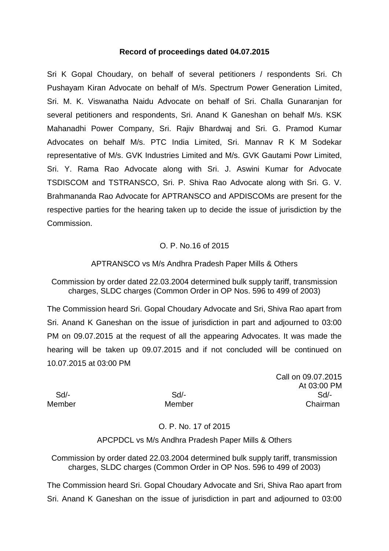## **Record of proceedings dated 04.07.2015**

Sri K Gopal Choudary, on behalf of several petitioners / respondents Sri. Ch Pushayam Kiran Advocate on behalf of M/s. Spectrum Power Generation Limited, Sri. M. K. Viswanatha Naidu Advocate on behalf of Sri. Challa Gunaranjan for several petitioners and respondents, Sri. Anand K Ganeshan on behalf M/s. KSK Mahanadhi Power Company, Sri. Rajiv Bhardwaj and Sri. G. Pramod Kumar Advocates on behalf M/s. PTC India Limited, Sri. Mannav R K M Sodekar representative of M/s. GVK Industries Limited and M/s. GVK Gautami Powr Limited, Sri. Y. Rama Rao Advocate along with Sri. J. Aswini Kumar for Advocate TSDISCOM and TSTRANSCO, Sri. P. Shiva Rao Advocate along with Sri. G. V. Brahmananda Rao Advocate for APTRANSCO and APDISCOMs are present for the respective parties for the hearing taken up to decide the issue of jurisdiction by the Commission.

## O. P. No.16 of 2015

## APTRANSCO vs M/s Andhra Pradesh Paper Mills & Others

Commission by order dated 22.03.2004 determined bulk supply tariff, transmission charges, SLDC charges (Common Order in OP Nos. 596 to 499 of 2003)

The Commission heard Sri. Gopal Choudary Advocate and Sri, Shiva Rao apart from Sri. Anand K Ganeshan on the issue of jurisdiction in part and adjourned to 03:00 PM on 09.07.2015 at the request of all the appearing Advocates. It was made the hearing will be taken up 09.07.2015 and if not concluded will be continued on 10.07.2015 at 03:00 PM

Call on 09.07.2015 At 03:00 PM Sd/- Sd/- Sd/- Member Member Chairman

O. P. No. 17 of 2015

## APCPDCL vs M/s Andhra Pradesh Paper Mills & Others

Commission by order dated 22.03.2004 determined bulk supply tariff, transmission charges, SLDC charges (Common Order in OP Nos. 596 to 499 of 2003)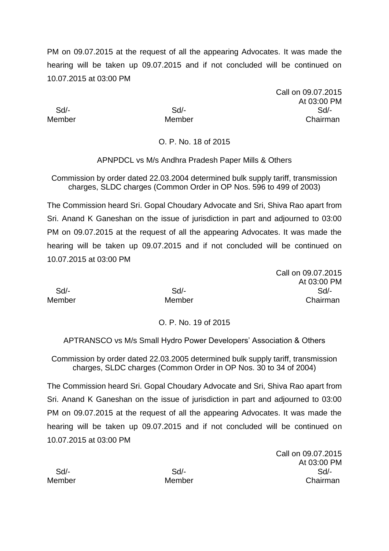Call on 09.07.2015 At 03:00 PM Sd/- Sd/- Sd/- Member Member Chairman

O. P. No. 18 of 2015

APNPDCL vs M/s Andhra Pradesh Paper Mills & Others

Commission by order dated 22.03.2004 determined bulk supply tariff, transmission charges, SLDC charges (Common Order in OP Nos. 596 to 499 of 2003)

The Commission heard Sri. Gopal Choudary Advocate and Sri, Shiva Rao apart from Sri. Anand K Ganeshan on the issue of jurisdiction in part and adjourned to 03:00 PM on 09.07.2015 at the request of all the appearing Advocates. It was made the hearing will be taken up 09.07.2015 and if not concluded will be continued on 10.07.2015 at 03:00 PM

Call on 09.07.2015 At 03:00 PM Sd/- Sd/- Sd/- Member Member Chairman

O. P. No. 19 of 2015

APTRANSCO vs M/s Small Hydro Power Developers' Association & Others

Commission by order dated 22.03.2005 determined bulk supply tariff, transmission charges, SLDC charges (Common Order in OP Nos. 30 to 34 of 2004)

The Commission heard Sri. Gopal Choudary Advocate and Sri, Shiva Rao apart from Sri. Anand K Ganeshan on the issue of jurisdiction in part and adjourned to 03:00 PM on 09.07.2015 at the request of all the appearing Advocates. It was made the hearing will be taken up 09.07.2015 and if not concluded will be continued on 10.07.2015 at 03:00 PM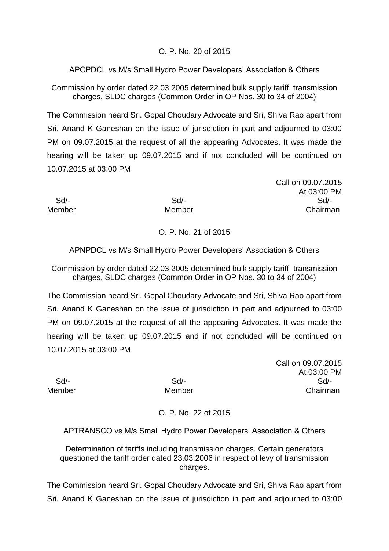## O. P. No. 20 of 2015

APCPDCL vs M/s Small Hydro Power Developers' Association & Others

Commission by order dated 22.03.2005 determined bulk supply tariff, transmission charges, SLDC charges (Common Order in OP Nos. 30 to 34 of 2004)

The Commission heard Sri. Gopal Choudary Advocate and Sri, Shiva Rao apart from Sri. Anand K Ganeshan on the issue of jurisdiction in part and adjourned to 03:00 PM on 09.07.2015 at the request of all the appearing Advocates. It was made the hearing will be taken up 09.07.2015 and if not concluded will be continued on 10.07.2015 at 03:00 PM

Call on 09.07.2015 At 03:00 PM Sd/- Sd/- Sd/- Member Member Chairman

# O. P. No. 21 of 2015

APNPDCL vs M/s Small Hydro Power Developers' Association & Others

Commission by order dated 22.03.2005 determined bulk supply tariff, transmission charges, SLDC charges (Common Order in OP Nos. 30 to 34 of 2004)

The Commission heard Sri. Gopal Choudary Advocate and Sri, Shiva Rao apart from Sri. Anand K Ganeshan on the issue of jurisdiction in part and adjourned to 03:00 PM on 09.07.2015 at the request of all the appearing Advocates. It was made the hearing will be taken up 09.07.2015 and if not concluded will be continued on 10.07.2015 at 03:00 PM

Call on 09.07.2015 At 03:00 PM Sd/- Sd/- Sd/- Member Member **Member** Chairman

O. P. No. 22 of 2015

APTRANSCO vs M/s Small Hydro Power Developers' Association & Others

Determination of tariffs including transmission charges. Certain generators questioned the tariff order dated 23.03.2006 in respect of levy of transmission charges.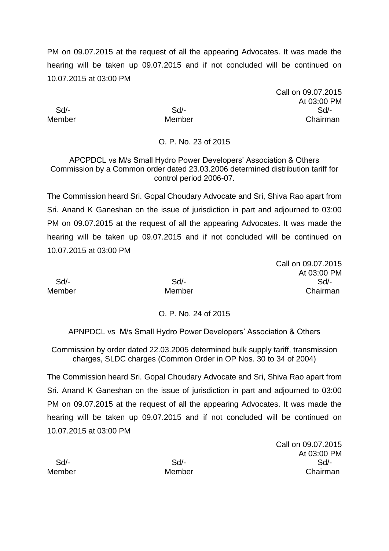Call on 09.07.2015 At 03:00 PM Sd/- Sd/- Sd/- Member Member Chairman

## O. P. No. 23 of 2015

APCPDCL vs M/s Small Hydro Power Developers' Association & Others Commission by a Common order dated 23.03.2006 determined distribution tariff for control period 2006-07.

The Commission heard Sri. Gopal Choudary Advocate and Sri, Shiva Rao apart from Sri. Anand K Ganeshan on the issue of jurisdiction in part and adjourned to 03:00 PM on 09.07.2015 at the request of all the appearing Advocates. It was made the hearing will be taken up 09.07.2015 and if not concluded will be continued on 10.07.2015 at 03:00 PM

Call on 09.07.2015 At 03:00 PM Sd/- Sd/- Sd/- Member Member Chairman

## O. P. No. 24 of 2015

APNPDCL vs M/s Small Hydro Power Developers' Association & Others

Commission by order dated 22.03.2005 determined bulk supply tariff, transmission charges, SLDC charges (Common Order in OP Nos. 30 to 34 of 2004)

The Commission heard Sri. Gopal Choudary Advocate and Sri, Shiva Rao apart from Sri. Anand K Ganeshan on the issue of jurisdiction in part and adjourned to 03:00 PM on 09.07.2015 at the request of all the appearing Advocates. It was made the hearing will be taken up 09.07.2015 and if not concluded will be continued on 10.07.2015 at 03:00 PM

|        |        | At 03:00 PM |
|--------|--------|-------------|
| Sd/-   | Sd/-   | Sd/-        |
| Member | Member | Chairman    |

Call on 09.07.2015 At 03:00 PM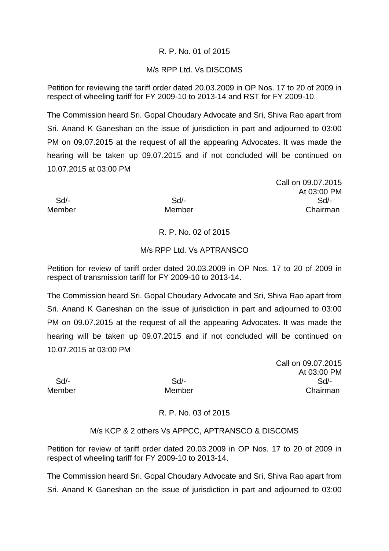## R. P. No. 01 of 2015

## M/s RPP Ltd. Vs DISCOMS

Petition for reviewing the tariff order dated 20.03.2009 in OP Nos. 17 to 20 of 2009 in respect of wheeling tariff for FY 2009-10 to 2013-14 and RST for FY 2009-10.

The Commission heard Sri. Gopal Choudary Advocate and Sri, Shiva Rao apart from Sri. Anand K Ganeshan on the issue of jurisdiction in part and adjourned to 03:00 PM on 09.07.2015 at the request of all the appearing Advocates. It was made the hearing will be taken up 09.07.2015 and if not concluded will be continued on 10.07.2015 at 03:00 PM

Call on 09.07.2015 At 03:00 PM Sd/- Sd/- Sd/- Member Member Chairman

## R. P. No. 02 of 2015

## M/s RPP Ltd. Vs APTRANSCO

Petition for review of tariff order dated 20.03.2009 in OP Nos. 17 to 20 of 2009 in respect of transmission tariff for FY 2009-10 to 2013-14.

The Commission heard Sri. Gopal Choudary Advocate and Sri, Shiva Rao apart from Sri. Anand K Ganeshan on the issue of jurisdiction in part and adjourned to 03:00 PM on 09.07.2015 at the request of all the appearing Advocates. It was made the hearing will be taken up 09.07.2015 and if not concluded will be continued on 10.07.2015 at 03:00 PM

Call on 09.07.2015 At 03:00 PM Sd/- Sd/- Sd/- Member Member Member Chairman

## R. P. No. 03 of 2015

## M/s KCP & 2 others Vs APPCC, APTRANSCO & DISCOMS

Petition for review of tariff order dated 20.03.2009 in OP Nos. 17 to 20 of 2009 in respect of wheeling tariff for FY 2009-10 to 2013-14.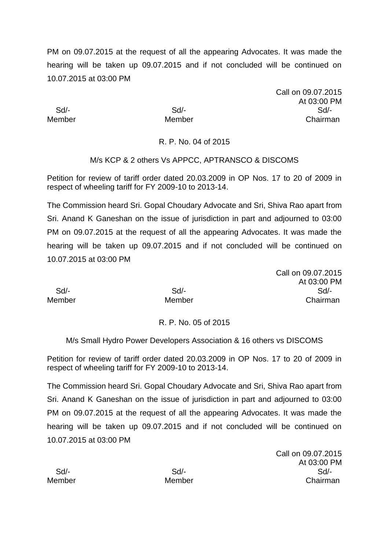Call on 09.07.2015 At 03:00 PM Sd/- Sd/- Sd/- Member Member Chairman

R. P. No. 04 of 2015

## M/s KCP & 2 others Vs APPCC, APTRANSCO & DISCOMS

Petition for review of tariff order dated 20.03.2009 in OP Nos. 17 to 20 of 2009 in respect of wheeling tariff for FY 2009-10 to 2013-14.

The Commission heard Sri. Gopal Choudary Advocate and Sri, Shiva Rao apart from Sri. Anand K Ganeshan on the issue of jurisdiction in part and adjourned to 03:00 PM on 09.07.2015 at the request of all the appearing Advocates. It was made the hearing will be taken up 09.07.2015 and if not concluded will be continued on 10.07.2015 at 03:00 PM

Call on 09.07.2015 At 03:00 PM Sd/- Sd/- Sd/- Member Member Chairman

R. P. No. 05 of 2015

M/s Small Hydro Power Developers Association & 16 others vs DISCOMS

Petition for review of tariff order dated 20.03.2009 in OP Nos. 17 to 20 of 2009 in respect of wheeling tariff for FY 2009-10 to 2013-14.

The Commission heard Sri. Gopal Choudary Advocate and Sri, Shiva Rao apart from Sri. Anand K Ganeshan on the issue of jurisdiction in part and adjourned to 03:00 PM on 09.07.2015 at the request of all the appearing Advocates. It was made the hearing will be taken up 09.07.2015 and if not concluded will be continued on 10.07.2015 at 03:00 PM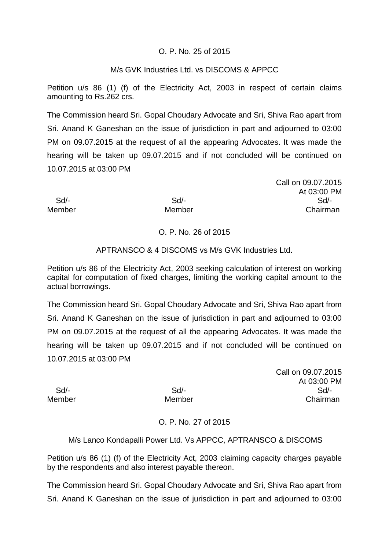## O. P. No. 25 of 2015

## M/s GVK Industries Ltd. vs DISCOMS & APPCC

Petition u/s 86 (1) (f) of the Electricity Act, 2003 in respect of certain claims amounting to Rs.262 crs.

The Commission heard Sri. Gopal Choudary Advocate and Sri, Shiva Rao apart from Sri. Anand K Ganeshan on the issue of jurisdiction in part and adjourned to 03:00 PM on 09.07.2015 at the request of all the appearing Advocates. It was made the hearing will be taken up 09.07.2015 and if not concluded will be continued on 10.07.2015 at 03:00 PM

Call on 09.07.2015 At 03:00 PM Sd/- Sd/- Sd/- Member Member Chairman

## O. P. No. 26 of 2015

## APTRANSCO & 4 DISCOMS vs M/s GVK Industries Ltd.

Petition u/s 86 of the Electricity Act, 2003 seeking calculation of interest on working capital for computation of fixed charges, limiting the working capital amount to the actual borrowings.

The Commission heard Sri. Gopal Choudary Advocate and Sri, Shiva Rao apart from Sri. Anand K Ganeshan on the issue of jurisdiction in part and adjourned to 03:00 PM on 09.07.2015 at the request of all the appearing Advocates. It was made the hearing will be taken up 09.07.2015 and if not concluded will be continued on 10.07.2015 at 03:00 PM

Call on 09.07.2015 At 03:00 PM Sd/- Sd/- Sd/- Member Member Chairman

## O. P. No. 27 of 2015

## M/s Lanco Kondapalli Power Ltd. Vs APPCC, APTRANSCO & DISCOMS

Petition u/s 86 (1) (f) of the Electricity Act, 2003 claiming capacity charges payable by the respondents and also interest payable thereon.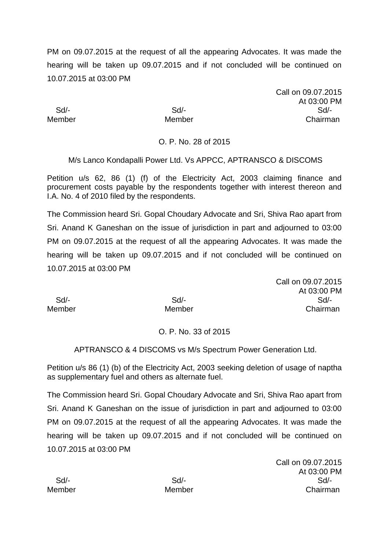Call on 09.07.2015 At 03:00 PM Sd/- Sd/- Sd/- Member Member Chairman

## O. P. No. 28 of 2015

M/s Lanco Kondapalli Power Ltd. Vs APPCC, APTRANSCO & DISCOMS

Petition u/s 62, 86 (1) (f) of the Electricity Act, 2003 claiming finance and procurement costs payable by the respondents together with interest thereon and I.A. No. 4 of 2010 filed by the respondents.

The Commission heard Sri. Gopal Choudary Advocate and Sri, Shiva Rao apart from Sri. Anand K Ganeshan on the issue of jurisdiction in part and adjourned to 03:00 PM on 09.07.2015 at the request of all the appearing Advocates. It was made the hearing will be taken up 09.07.2015 and if not concluded will be continued on 10.07.2015 at 03:00 PM

|        |        | Call on 09.07.2015 |
|--------|--------|--------------------|
|        |        | At 03:00 PM        |
| Sd     | $Sd$ - | Sd                 |
| Member | Member | Chairman           |

## O. P. No. 33 of 2015

APTRANSCO & 4 DISCOMS vs M/s Spectrum Power Generation Ltd.

Petition u/s 86 (1) (b) of the Electricity Act, 2003 seeking deletion of usage of naptha as supplementary fuel and others as alternate fuel.

The Commission heard Sri. Gopal Choudary Advocate and Sri, Shiva Rao apart from Sri. Anand K Ganeshan on the issue of jurisdiction in part and adjourned to 03:00 PM on 09.07.2015 at the request of all the appearing Advocates. It was made the hearing will be taken up 09.07.2015 and if not concluded will be continued on 10.07.2015 at 03:00 PM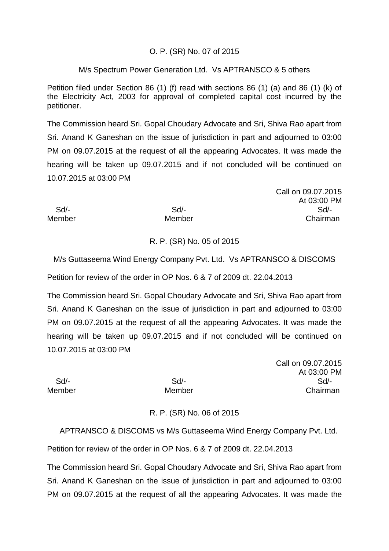## O. P. (SR) No. 07 of 2015

## M/s Spectrum Power Generation Ltd. Vs APTRANSCO & 5 others

Petition filed under Section 86 (1) (f) read with sections 86 (1) (a) and 86 (1) (k) of the Electricity Act, 2003 for approval of completed capital cost incurred by the petitioner.

The Commission heard Sri. Gopal Choudary Advocate and Sri, Shiva Rao apart from Sri. Anand K Ganeshan on the issue of jurisdiction in part and adjourned to 03:00 PM on 09.07.2015 at the request of all the appearing Advocates. It was made the hearing will be taken up 09.07.2015 and if not concluded will be continued on 10.07.2015 at 03:00 PM

|        |        | Call on 09.07.2015 |
|--------|--------|--------------------|
|        |        | At 03:00 PM        |
| Sd     | $Sd$ - | Sd/-               |
| Member | Member | Chairman           |

## R. P. (SR) No. 05 of 2015

M/s Guttaseema Wind Energy Company Pvt. Ltd. Vs APTRANSCO & DISCOMS

Petition for review of the order in OP Nos. 6 & 7 of 2009 dt. 22.04.2013

The Commission heard Sri. Gopal Choudary Advocate and Sri, Shiva Rao apart from Sri. Anand K Ganeshan on the issue of jurisdiction in part and adjourned to 03:00 PM on 09.07.2015 at the request of all the appearing Advocates. It was made the hearing will be taken up 09.07.2015 and if not concluded will be continued on 10.07.2015 at 03:00 PM

Call on 09.07.2015 At 03:00 PM Sd/- Sd/- Sd/- Member Member **Member** Chairman

## R. P. (SR) No. 06 of 2015

APTRANSCO & DISCOMS vs M/s Guttaseema Wind Energy Company Pvt. Ltd.

Petition for review of the order in OP Nos. 6 & 7 of 2009 dt. 22.04.2013

The Commission heard Sri. Gopal Choudary Advocate and Sri, Shiva Rao apart from Sri. Anand K Ganeshan on the issue of jurisdiction in part and adjourned to 03:00 PM on 09.07.2015 at the request of all the appearing Advocates. It was made the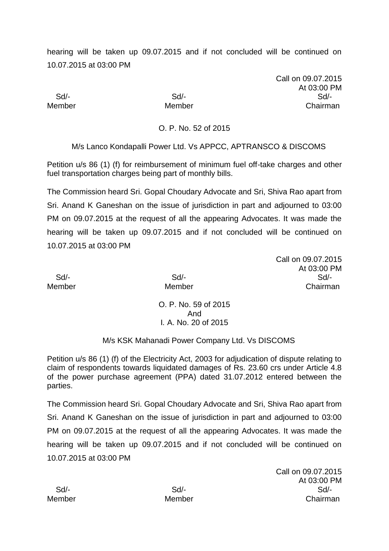hearing will be taken up 09.07.2015 and if not concluded will be continued on 10.07.2015 at 03:00 PM

Call on 09.07.2015 At 03:00 PM Sd/- Sd/- Sd/- Member Member Chairman

O. P. No. 52 of 2015

M/s Lanco Kondapalli Power Ltd. Vs APPCC, APTRANSCO & DISCOMS

Petition u/s 86 (1) (f) for reimbursement of minimum fuel off-take charges and other fuel transportation charges being part of monthly bills.

The Commission heard Sri. Gopal Choudary Advocate and Sri, Shiva Rao apart from Sri. Anand K Ganeshan on the issue of jurisdiction in part and adjourned to 03:00 PM on 09.07.2015 at the request of all the appearing Advocates. It was made the hearing will be taken up 09.07.2015 and if not concluded will be continued on 10.07.2015 at 03:00 PM

Call on 09.07.2015 At 03:00 PM Sd/- Sd/- Sd/- Member Member Chairman

> O. P. No. 59 of 2015 And I*.* A. No. 20 of 2015

## M/s KSK Mahanadi Power Company Ltd. Vs DISCOMS

Petition u/s 86 (1) (f) of the Electricity Act, 2003 for adjudication of dispute relating to claim of respondents towards liquidated damages of Rs. 23.60 crs under Article 4.8 of the power purchase agreement (PPA) dated 31.07.2012 entered between the parties.

The Commission heard Sri. Gopal Choudary Advocate and Sri, Shiva Rao apart from Sri. Anand K Ganeshan on the issue of jurisdiction in part and adjourned to 03:00 PM on 09.07.2015 at the request of all the appearing Advocates. It was made the hearing will be taken up 09.07.2015 and if not concluded will be continued on 10.07.2015 at 03:00 PM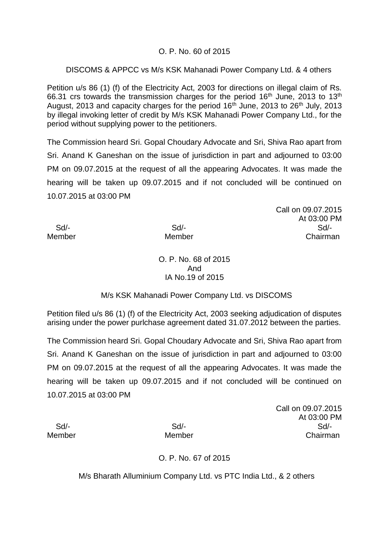## O. P. No. 60 of 2015

## DISCOMS & APPCC vs M/s KSK Mahanadi Power Company Ltd. & 4 others

Petition u/s 86 (1) (f) of the Electricity Act, 2003 for directions on illegal claim of Rs. 66.31 crs towards the transmission charges for the period  $16<sup>th</sup>$  June, 2013 to  $13<sup>th</sup>$ August, 2013 and capacity charges for the period 16<sup>th</sup> June, 2013 to 26<sup>th</sup> July, 2013 by illegal invoking letter of credit by M/s KSK Mahanadi Power Company Ltd., for the period without supplying power to the petitioners.

The Commission heard Sri. Gopal Choudary Advocate and Sri, Shiva Rao apart from Sri. Anand K Ganeshan on the issue of jurisdiction in part and adjourned to 03:00 PM on 09.07.2015 at the request of all the appearing Advocates. It was made the hearing will be taken up 09.07.2015 and if not concluded will be continued on 10.07.2015 at 03:00 PM

Call on 09.07.2015 At 03:00 PM Sd/- Sd/- Sd/- Member Member Member Chairman

## O. P. No. 68 of 2015 And IA No.19 of 2015

## M/s KSK Mahanadi Power Company Ltd. vs DISCOMS

Petition filed u/s 86 (1) (f) of the Electricity Act, 2003 seeking adjudication of disputes arising under the power purlchase agreement dated 31.07.2012 between the parties.

The Commission heard Sri. Gopal Choudary Advocate and Sri, Shiva Rao apart from Sri. Anand K Ganeshan on the issue of jurisdiction in part and adjourned to 03:00 PM on 09.07.2015 at the request of all the appearing Advocates. It was made the hearing will be taken up 09.07.2015 and if not concluded will be continued on 10.07.2015 at 03:00 PM

Call on 09.07.2015 At 03:00 PM Sd/- Sd/- Sd/- Member Member Chairman

## O. P. No. 67 of 2015

M/s Bharath Alluminium Company Ltd. vs PTC India Ltd., & 2 others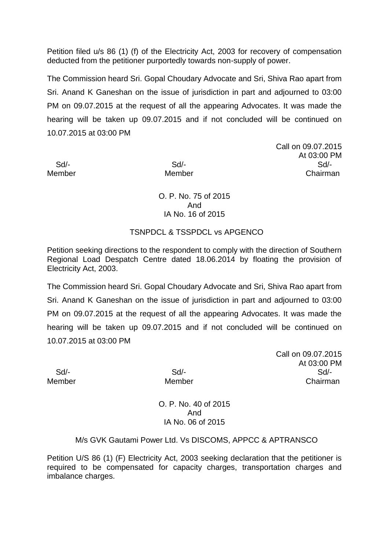Petition filed u/s 86 (1) (f) of the Electricity Act, 2003 for recovery of compensation deducted from the petitioner purportedly towards non-supply of power.

The Commission heard Sri. Gopal Choudary Advocate and Sri, Shiva Rao apart from Sri. Anand K Ganeshan on the issue of jurisdiction in part and adjourned to 03:00 PM on 09.07.2015 at the request of all the appearing Advocates. It was made the hearing will be taken up 09.07.2015 and if not concluded will be continued on 10.07.2015 at 03:00 PM

Call on 09.07.2015 At 03:00 PM Sd/- Sd/- Sd/- Member Member Chairman

O. P. No. 75 of 2015 And IA No. 16 of 2015

## TSNPDCL & TSSPDCL vs APGENCO

Petition seeking directions to the respondent to comply with the direction of Southern Regional Load Despatch Centre dated 18.06.2014 by floating the provision of Electricity Act, 2003.

The Commission heard Sri. Gopal Choudary Advocate and Sri, Shiva Rao apart from Sri. Anand K Ganeshan on the issue of jurisdiction in part and adjourned to 03:00 PM on 09.07.2015 at the request of all the appearing Advocates. It was made the hearing will be taken up 09.07.2015 and if not concluded will be continued on 10.07.2015 at 03:00 PM

Call on 09.07.2015 At 03:00 PM Sd/- Sd/- Sd/- Member Member Chairman

> O. P. No. 40 of 2015 And IA No. 06 of 2015

## M/s GVK Gautami Power Ltd. Vs DISCOMS, APPCC & APTRANSCO

Petition U/S 86 (1) (F) Electricity Act, 2003 seeking declaration that the petitioner is required to be compensated for capacity charges, transportation charges and imbalance charges.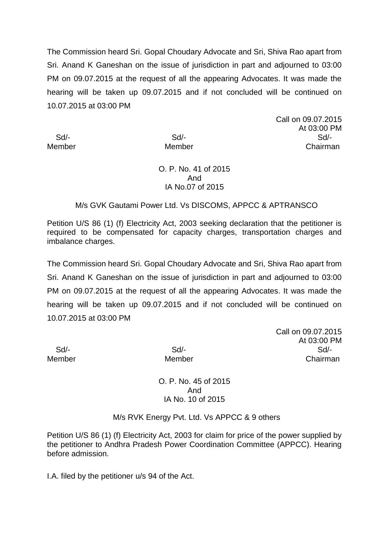The Commission heard Sri. Gopal Choudary Advocate and Sri, Shiva Rao apart from Sri. Anand K Ganeshan on the issue of jurisdiction in part and adjourned to 03:00 PM on 09.07.2015 at the request of all the appearing Advocates. It was made the hearing will be taken up 09.07.2015 and if not concluded will be continued on 10.07.2015 at 03:00 PM

Call on 09.07.2015 At 03:00 PM Sd/- Sd/- Sd/- Member Member Chairman

## O. P. No. 41 of 2015 And IA No.07 of 2015

## M/s GVK Gautami Power Ltd. Vs DISCOMS, APPCC & APTRANSCO

Petition U/S 86 (1) (f) Electricity Act, 2003 seeking declaration that the petitioner is required to be compensated for capacity charges, transportation charges and imbalance charges.

The Commission heard Sri. Gopal Choudary Advocate and Sri, Shiva Rao apart from Sri. Anand K Ganeshan on the issue of jurisdiction in part and adjourned to 03:00 PM on 09.07.2015 at the request of all the appearing Advocates. It was made the hearing will be taken up 09.07.2015 and if not concluded will be continued on 10.07.2015 at 03:00 PM

Call on 09.07.2015 At 03:00 PM Sd/- Sd/- Sd/- Member Member Chairman

> O. P. No. 45 of 2015 And IA No. 10 of 2015

M/s RVK Energy Pvt. Ltd. Vs APPCC & 9 others

Petition U/S 86 (1) (f) Electricity Act, 2003 for claim for price of the power supplied by the petitioner to Andhra Pradesh Power Coordination Committee (APPCC). Hearing before admission.

I.A. filed by the petitioner u/s 94 of the Act.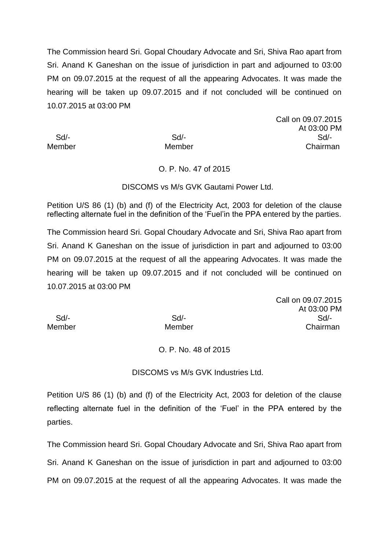The Commission heard Sri. Gopal Choudary Advocate and Sri, Shiva Rao apart from Sri. Anand K Ganeshan on the issue of jurisdiction in part and adjourned to 03:00 PM on 09.07.2015 at the request of all the appearing Advocates. It was made the hearing will be taken up 09.07.2015 and if not concluded will be continued on 10.07.2015 at 03:00 PM

Call on 09.07.2015 At 03:00 PM Sd/- Sd/- Sd/- Member Member Chairman

## O. P. No. 47 of 2015

#### DISCOMS vs M/s GVK Gautami Power Ltd.

Petition U/S 86 (1) (b) and (f) of the Electricity Act, 2003 for deletion of the clause reflecting alternate fuel in the definition of the 'Fuel'in the PPA entered by the parties.

The Commission heard Sri. Gopal Choudary Advocate and Sri, Shiva Rao apart from Sri. Anand K Ganeshan on the issue of jurisdiction in part and adjourned to 03:00 PM on 09.07.2015 at the request of all the appearing Advocates. It was made the hearing will be taken up 09.07.2015 and if not concluded will be continued on 10.07.2015 at 03:00 PM

Call on 09.07.2015 At 03:00 PM Sd/- Sd/- Sd/- Member Member Chairman

#### O. P. No. 48 of 2015

DISCOMS vs M/s GVK Industries Ltd.

Petition U/S 86 (1) (b) and (f) of the Electricity Act, 2003 for deletion of the clause reflecting alternate fuel in the definition of the 'Fuel' in the PPA entered by the parties.

The Commission heard Sri. Gopal Choudary Advocate and Sri, Shiva Rao apart from Sri. Anand K Ganeshan on the issue of jurisdiction in part and adjourned to 03:00 PM on 09.07.2015 at the request of all the appearing Advocates. It was made the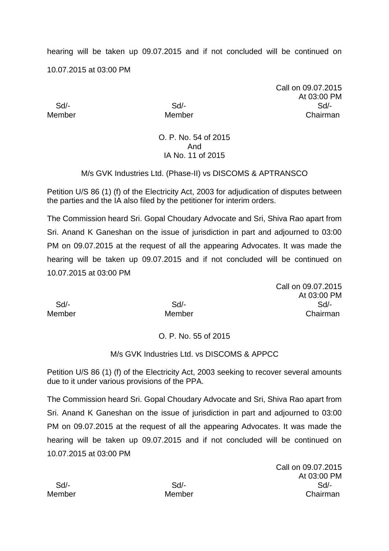hearing will be taken up 09.07.2015 and if not concluded will be continued on 10.07.2015 at 03:00 PM

Call on 09.07.2015 At 03:00 PM Sd/- Sd/- Sd/- Member Member Chairman

## O. P. No. 54 of 2015 And IA No. 11 of 2015

## M/s GVK Industries Ltd. (Phase-II) vs DISCOMS & APTRANSCO

Petition U/S 86 (1) (f) of the Electricity Act, 2003 for adjudication of disputes between the parties and the IA also filed by the petitioner for interim orders.

The Commission heard Sri. Gopal Choudary Advocate and Sri, Shiva Rao apart from Sri. Anand K Ganeshan on the issue of jurisdiction in part and adjourned to 03:00 PM on 09.07.2015 at the request of all the appearing Advocates. It was made the hearing will be taken up 09.07.2015 and if not concluded will be continued on 10.07.2015 at 03:00 PM

|                  |                           | <b>UQII UII UJ.UI .ZU I</b> |
|------------------|---------------------------|-----------------------------|
|                  |                           | At 03:00 P                  |
| Sd/-             | Sd/-                      | Sd/-                        |
| 10 A a ma la a m | <b>M</b> A a see let a se | $\bigcap_{n=1}^{\infty}$    |

Call on 09.07.2015 At 03:00 PM Member Member Chairman

## O. P. No. 55 of 2015

## M/s GVK Industries Ltd. vs DISCOMS & APPCC

Petition U/S 86 (1) (f) of the Electricity Act, 2003 seeking to recover several amounts due to it under various provisions of the PPA.

The Commission heard Sri. Gopal Choudary Advocate and Sri, Shiva Rao apart from Sri. Anand K Ganeshan on the issue of jurisdiction in part and adjourned to 03:00 PM on 09.07.2015 at the request of all the appearing Advocates. It was made the hearing will be taken up 09.07.2015 and if not concluded will be continued on 10.07.2015 at 03:00 PM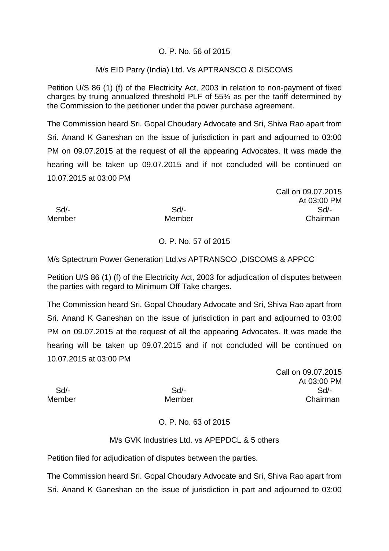## O. P. No. 56 of 2015

## M/s EID Parry (India) Ltd. Vs APTRANSCO & DISCOMS

Petition U/S 86 (1) (f) of the Electricity Act, 2003 in relation to non-payment of fixed charges by truing annualized threshold PLF of 55% as per the tariff determined by the Commission to the petitioner under the power purchase agreement.

The Commission heard Sri. Gopal Choudary Advocate and Sri, Shiva Rao apart from Sri. Anand K Ganeshan on the issue of jurisdiction in part and adjourned to 03:00 PM on 09.07.2015 at the request of all the appearing Advocates. It was made the hearing will be taken up 09.07.2015 and if not concluded will be continued on 10.07.2015 at 03:00 PM

Call on 09.07.2015 At 03:00 PM Sd/- Sd/- Sd/- Member Member Chairman

## O. P. No. 57 of 2015

M/s Sptectrum Power Generation Ltd.vs APTRANSCO ,DISCOMS & APPCC

Petition U/S 86 (1) (f) of the Electricity Act, 2003 for adjudication of disputes between the parties with regard to Minimum Off Take charges.

The Commission heard Sri. Gopal Choudary Advocate and Sri, Shiva Rao apart from Sri. Anand K Ganeshan on the issue of jurisdiction in part and adjourned to 03:00 PM on 09.07.2015 at the request of all the appearing Advocates. It was made the hearing will be taken up 09.07.2015 and if not concluded will be continued on 10.07.2015 at 03:00 PM

Call on 09.07.2015 At 03:00 PM Sd/- Sd/- Sd/- Member Member Chairman

## O. P. No. 63 of 2015

## M/s GVK Industries Ltd. vs APEPDCL & 5 others

Petition filed for adjudication of disputes between the parties.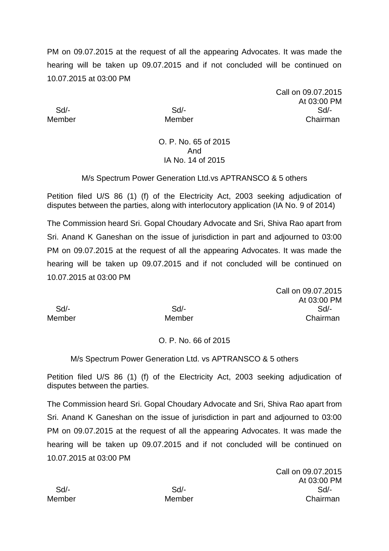Call on 09.07.2015 At 03:00 PM Sd/- Sd/- Sd/- Member Member Chairman

## O. P. No. 65 of 2015 And IA No. 14 of 2015

## M/s Spectrum Power Generation Ltd.vs APTRANSCO & 5 others

Petition filed U/S 86 (1) (f) of the Electricity Act, 2003 seeking adjudication of disputes between the parties, along with interlocutory application (IA No. 9 of 2014)

The Commission heard Sri. Gopal Choudary Advocate and Sri, Shiva Rao apart from Sri. Anand K Ganeshan on the issue of jurisdiction in part and adjourned to 03:00 PM on 09.07.2015 at the request of all the appearing Advocates. It was made the hearing will be taken up 09.07.2015 and if not concluded will be continued on 10.07.2015 at 03:00 PM

Call on 09.07.2015 At 03:00 PM Sd/- Sd/- Sd/- Member Member Chairman

## O. P. No. 66 of 2015

M/s Spectrum Power Generation Ltd. vs APTRANSCO & 5 others

Petition filed U/S 86 (1) (f) of the Electricity Act, 2003 seeking adjudication of disputes between the parties.

The Commission heard Sri. Gopal Choudary Advocate and Sri, Shiva Rao apart from Sri. Anand K Ganeshan on the issue of jurisdiction in part and adjourned to 03:00 PM on 09.07.2015 at the request of all the appearing Advocates. It was made the hearing will be taken up 09.07.2015 and if not concluded will be continued on 10.07.2015 at 03:00 PM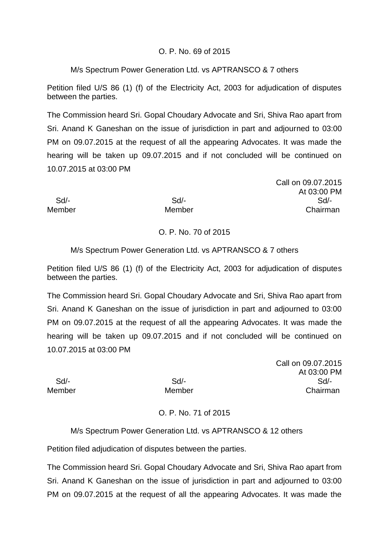## O. P. No. 69 of 2015

## M/s Spectrum Power Generation Ltd. vs APTRANSCO & 7 others

Petition filed U/S 86 (1) (f) of the Electricity Act, 2003 for adjudication of disputes between the parties.

The Commission heard Sri. Gopal Choudary Advocate and Sri, Shiva Rao apart from Sri. Anand K Ganeshan on the issue of jurisdiction in part and adjourned to 03:00 PM on 09.07.2015 at the request of all the appearing Advocates. It was made the hearing will be taken up 09.07.2015 and if not concluded will be continued on 10.07.2015 at 03:00 PM

|        |        | Call on 09.07.2015 |
|--------|--------|--------------------|
|        |        | At 03:00 PM        |
| Sd/-   | Sd     | Sd                 |
| Member | Member | Chairman           |

# O. P. No. 70 of 2015

## M/s Spectrum Power Generation Ltd. vs APTRANSCO & 7 others

Petition filed U/S 86 (1) (f) of the Electricity Act, 2003 for adjudication of disputes between the parties.

The Commission heard Sri. Gopal Choudary Advocate and Sri, Shiva Rao apart from Sri. Anand K Ganeshan on the issue of jurisdiction in part and adjourned to 03:00 PM on 09.07.2015 at the request of all the appearing Advocates. It was made the hearing will be taken up 09.07.2015 and if not concluded will be continued on 10.07.2015 at 03:00 PM

Call on 09.07.2015 At 03:00 PM Sd/- Sd/- Sd/- Member Member Member Chairman

## O. P. No. 71 of 2015

## M/s Spectrum Power Generation Ltd. vs APTRANSCO & 12 others

Petition filed adjudication of disputes between the parties.

The Commission heard Sri. Gopal Choudary Advocate and Sri, Shiva Rao apart from Sri. Anand K Ganeshan on the issue of jurisdiction in part and adjourned to 03:00 PM on 09.07.2015 at the request of all the appearing Advocates. It was made the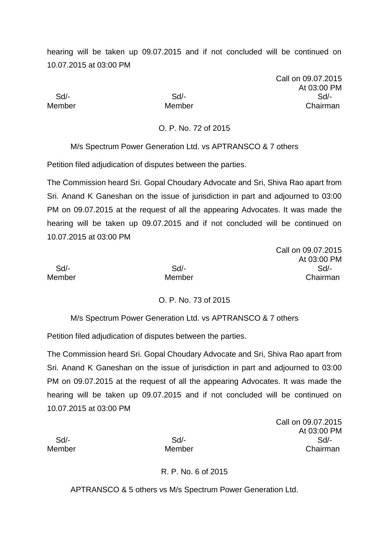hearing will be taken up 09.07.2015 and if not concluded will be continued on 10.07.2015 at 03:00 PM

Call on 09.07.2015 At 03:00 PM Sd/- Sd/- Sd/- Member Member Chairman

O. P. No. 72 of 2015

M/s Spectrum Power Generation Ltd. vs APTRANSCO & 7 others

Petition filed adjudication of disputes between the parties.

The Commission heard Sri. Gopal Choudary Advocate and Sri, Shiva Rao apart from Sri. Anand K Ganeshan on the issue of jurisdiction in part and adjourned to 03:00 PM on 09.07.2015 at the request of all the appearing Advocates. It was made the hearing will be taken up 09.07.2015 and if not concluded will be continued on 10.07.2015 at 03:00 PM

| Call on 09.07.2015 |             |
|--------------------|-------------|
|                    | At 03:00 PM |
| $Sd$ -             | Sd          |
| Member             | Chairman    |

## O. P. No. 73 of 2015

M/s Spectrum Power Generation Ltd. vs APTRANSCO & 7 others

Petition filed adjudication of disputes between the parties.

The Commission heard Sri. Gopal Choudary Advocate and Sri, Shiva Rao apart from Sri. Anand K Ganeshan on the issue of jurisdiction in part and adjourned to 03:00 PM on 09.07.2015 at the request of all the appearing Advocates. It was made the hearing will be taken up 09.07.2015 and if not concluded will be continued on 10.07.2015 at 03:00 PM

Call on 09.07.2015 At 03:00 PM Sd/- Sd/- Sd/- Member Member Chairman

R. P. No. 6 of 2015

APTRANSCO & 5 others vs M/s Spectrum Power Generation Ltd.